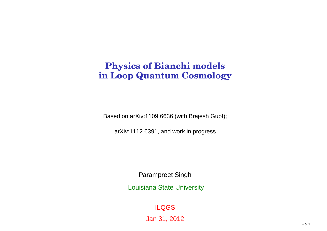#### **Physics of Bianchi models in Loop Quantum Cosmology**

Based on arXiv:1109.6636 (with Brajesh Gupt);

arXiv:1112.6391, and work in progress

Parampreet Singh

Louisiana State University

ILQGS

Jan 31, 2012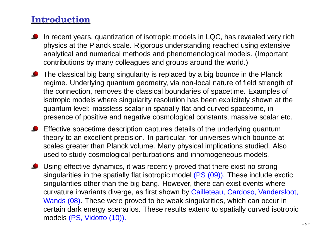### **Introduction**

- In recent years, quantization of isotropic models in LQC, has revealed very rich physics at the Planck scale. Rigorous understanding reached using extensive analytical and numerical methods and phenomenological models. (Important contributions by many colleagues and groups around the world.)
- The classical big bang singularity is replaced by <sup>a</sup> big bounce in the Planck regime. Underlying quantum geometry, via non-local nature of field strength of the connection, removes the classical boundaries of spacetime. Examples of isotropic models where singularity resolution has been explicitely shown at thequantum level: massless scalar in spatially flat and curved spacetime, inpresence of positive and negative cosmological constants, massive scalar etc.
- **Effective spacetime description captures details of the underlying quantum**  theory to an excellent precision. In particular, for universes which bounce at scales greater than Planck volume. Many physical implications studied. Alsoused to study cosmological perturbations and inhomogeneous models.
- Using effective dynamics, it was recently proved that there exist no strong singularities in the spatially flat isotropic model (PS (09)). These include exoticsingularities other than the big bang. However, there can exist events where curvature invariants diverge, as first shown by Cailleteau, Cardoso, Vandersloot, Wands (08). These were proved to be weak singularities, which can occur in certain dark energy scenarios. These results extend to spatially curved isotropicmodels (PS, Vidotto (10)).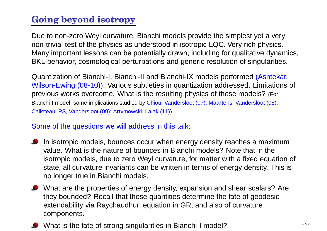# **Going beyond isotropy**

Due to non-zero Weyl curvature, Bianchi models provide the simplest yet <sup>a</sup> very non-trivial test of the physics as understood in isotropic LQC. Very rich physics. Many important lessons can be potentially drawn, including for qualitative dynamics, BKL behavior, cosmological perturbations and generic resolution of singularities.

Quantization of Bianchi-I, Bianchi-II and Bianchi-IX models performed (Ashtekar, Wilson-Ewing (08-10)). Various subtleties in quantization addressed. Limitations of previous works overcome. What is the resulting physics of these models? (For Bianchi-I model, some implications studied by Chiou, Vandersloot (07); Maartens, Vandersloot (08); Calleteau, PS, Vandersloot (09); Artymowski, Lalak (11))

#### Some of the questions we will address in this talk:

- **O** In isotropic models, bounces occur when energy density reaches a maximum value. What is the nature of bounces in Bianchi models? Note that in the isotropic models, due to zero Weyl curvature, for matter with <sup>a</sup> fixed equation of state, all curvature invariants can be written in terms of energy density. This isno longer true in Bianchi models.
- What are the properties of energy density, expansion and shear scalars? Are they bounded? Recall that these quantities determine the fate of geodesicextendability via Raychaudhuri equation in GR, and also of curvaturecomponents.
	- What is the fate of strong singularities in Bianchi-I model? $\frac{1}{2}$  – p. 3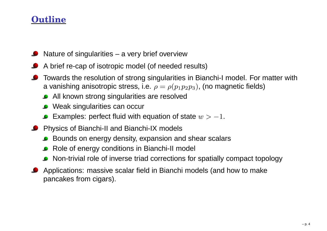# **Outline**

- Nature of singularities <sup>a</sup> very brief overview
- A brief re-cap of isotropic model (of needed results)
- Towards the resolution of strong singularities in Bianchi-I model. For matter witha vanishing anisotropic stress, i.e.  $\rho=\rho(p_1p_2p_3)$ , (no magnetic fields)
	- All known strong singularities are resolved
	- Weak singularities can occur
	- Examples: perfect fluid with equation of state  $w > -1.$
- Physics of Bianchi-II and Bianchi-IX models
	- Bounds on energy density, expansion and shear scalars
	- Role of energy conditions in Bianchi-II model
	- Non-trivial role of inverse triad corrections for spatially compact topology
- Applications: massive scalar field in Bianchi models (and how to makepancakes from cigars).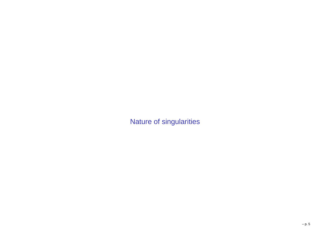Nature of singularities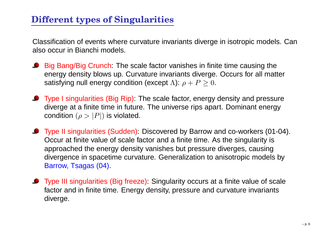Classification of events where curvature invariants diverge in isotropic models. Canalso occur in Bianchi models.

- Big Bang/Big Crunch: The scale factor vanishes in finite time causing the energy density blows up. Curvature invariants diverge. Occurs for all mattersatisfying null energy condition (except  $\Lambda$ ):  $\rho+P\geq0.$
- **O** Type I singularities (Big Rip): The scale factor, energy density and pressure diverge at <sup>a</sup> finite time in future. The universe rips apart. Dominant energycondition  $(\rho > |P|)$  is violated.
- Type II singularities (Sudden): Discovered by Barrow and co-workers (01-04). Occur at finite value of scale factor and <sup>a</sup> finite time. As the singularity is approached the energy density vanishes but pressure diverges, causing divergence in spacetime curvature. Generalization to anisotropic models byBarrow, Tsagas (04).
- **O** Type III singularities (Big freeze): Singularity occurs at a finite value of scale factor and in finite time. Energy density, pressure and curvature invariantsdiverge.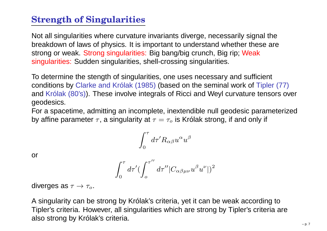# **Strength of Singularities**

Not all singularities where curvature invariants diverge, necessarily signal the breakdown of laws of physics. It is important to understand whether these arestrong or weak. Strong singularities: Big bang/big crunch, Big rip; Weaksingularities: Sudden singularities, shell-crossing singularities.

To determine the stength of singularities, one uses necessary and sufficient conditions by Clarke and Królak (1985) (based on the seminal work of Tipler (77) and Królak (80's)). These involve integrals of Ricci and Weyl curvature tensors over geodesics.

For <sup>a</sup> spacetime, admitting an incomplete, inextendible null geodesic parameterizedby affine parameter  $\tau,$  a singularity at  $\tau=\tau_o$  is Królak strong, if and only if

$$
\int_0^\tau d\tau' R_{\alpha\beta} u^\alpha u^\beta
$$

or

$$
\int_0^\tau d\tau' (\int_o^{\tau''} d\tau'' |C_{\alpha\beta\mu\nu} u^\beta u^\nu|)^2
$$

diverges as  $\tau\to\tau_o.$ 

A singularity can be strong by Królak's criteria, yet it can be weak according to Tipler's criteria. However, all singularities which are strong by Tipler's criteria arealso strong by Królak's criteria.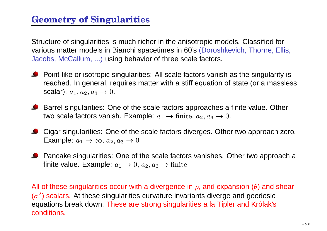# **Geometry of Singularities**

Structure of singularities is much richer in the anisotropic models. Classified forvarious matter models in Bianchi spacetimes in 60's (Doroshkevich, Thorne, Ellis, Jacobs, McCallum, ...) using behavior of three scale factors.

- **P** Point-like or isotropic singularities: All scale factors vanish as the singularity is reached. In general, requires matter with <sup>a</sup> stiff equation of state (or <sup>a</sup> masslessscalar).  $a_1, a_2, a_3\rightarrow 0$ .
- Barrel singularities: One of the scale factors approaches a finite value. Other two scale factors vanish. Example:  $a_1 \rightarrow \text{finite}, \, a_2, a_3 \rightarrow 0.$
- Cigar singularities: One of the scale factors diverges. Other two approach zero. Example:  $a_1 \rightarrow \infty$ ,  $a_2, a_3 \rightarrow 0$
- Pancake singularities: One of the scale factors vanishes. Other two approach <sup>a</sup>finite value. Example:  $a_1 \rightarrow 0$ ,  $a_2, a_3 \rightarrow \text{finite}$

All of these singularities occur with a divergence in  $\rho,$  and expansion  $(\theta)$  and shear  $(\sigma^2)$  scalars. At these singularities curvature invariants diverge and geodesic equations break down. These are strong singularities <sup>a</sup> la Tipler and Królak'sconditions.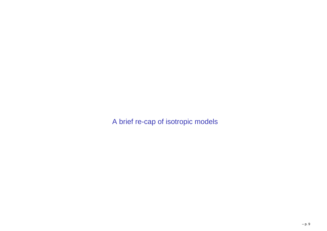A brief re-cap of isotropic models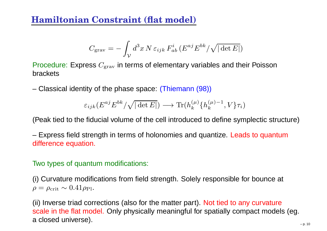### **Hamiltonian Constraint (flat model)**

$$
C_{\rm grav} = -\int_{\mathcal{V}} d^3x \, N \, \varepsilon_{ijk} \, F_{ab}^i \, (E^{aj} E^{bk} / \sqrt{|\det E|})
$$

Procedure: Express  $C_{\rm grav}$  in terms of elementary variables and their Poisson brackets

– Classical identity of the phase space: (Thiemann (98))

$$
\varepsilon_{ijk}(E^{aj}E^{bk}/\sqrt{|\det E|}) \longrightarrow \text{Tr}(h_k^{(\mu)}\{h_k^{(\mu)-1},V\}\tau_i)
$$

(Peak tied to the fiducial volume of the cell introduced to define symplectic structure)

– Express field strength in terms of holonomies and quantize. Leads to quantumdifference equation.

#### Two types of quantum modifications:

(i) Curvature modifications from field strength. Solely responsible for bounce at  $\rho=\rho_{\rm crit}\sim0.41\rho_{\rm Pl}.$ 

(ii) Inverse triad corrections (also for the matter part). Not tied to any curvature scale in the flat model. Only physically meaningful for spatially compact models (eg. <sup>a</sup> closed universe).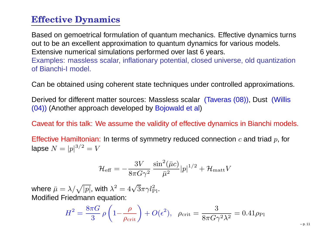### **Effective Dynamics**

Based on gemoetrical formulation of quantum mechanics. Effective dynamics turnsout to be an excellent approximation to quantum dynamics for various models. Extensive numerical simulations performed over last 6 years. Examples: massless scalar, inflationary potential, closed universe, old quantization of Bianchi-I model.

Can be obtained using coherent state techniques under controlled approximations.

Derived for different matter sources: Massless scalar (Taveras (08)), Dust (Willis(04)) (Another approach developed by <mark>Bojowald et al</mark>)

Caveat for this talk: We assume the validity of effective dynamics in Bianchi models.

Effective Hamiltonian: In terms of symmetry reduced connection  $c$  and triad  $p$ , for lapse  $N = |p|^{3/2} = V$ 

$$
\mathcal{H}_{\textrm{eff}}=-\frac{3V}{8\pi G\gamma^2}\,\frac{\sin^2(\bar{\mu}c)}{\bar{\mu}^2}|p|^{1/2}+\mathcal{H}_{\textrm{matt}}V
$$

where  $\bar{\mu} = \lambda / \sqrt{|p|}$ , with  $\lambda^2 = 4\sqrt{3}\pi \gamma l_{\rm Pl}^2$ . Modified Friedmann equation:

$$
H^2 = \frac{8\pi G}{3} \rho \left(1 - \frac{\rho}{\rho_{\text{crit}}}\right) + O(\epsilon^2), \ \ \rho_{\text{crit}} = \frac{3}{8\pi G \gamma^2 \lambda^2} = 0.41 \rho_{\text{Pl}}
$$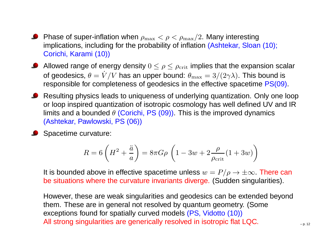Phase of super-inflation when  $\rho_{\rm max} < \rho < \rho_{\rm max}/2$ . Many interesting implications, including for the probability of inflation (Ashtekar, Sloan (10); Corichi, Karami (10))

Allowed range of energy density  $0\leq\rho\leq\rho_{\mathrm{crit}}$  implies that the expansion scalar of geodesics,  $\theta=V/V$  has an upper b responsible for completeness of geodesics in the effective spacetime  $\mathsf{PS}(\overline{09})$ .  $\dot{V}/V$  has an upper bound:  $\theta_{\rm max} = 3/(2\gamma\lambda)$ . This bound is<br>pompleteness of goodesies in the effective speectime RS(00)

**C** Resulting physics leads to uniqueness of underlying quantization. Only one loop or loop inspired quantization of isotropic cosmology has well defined UV and IRlimits and a bounded  $\theta$  (Corichi, PS (09)). This is the improved dynamics (Ashtekar, Pawlowski, PS (06))

Spacetime curvature:

$$
R = 6\left(H^2 + \frac{\ddot{a}}{a}\right) = 8\pi G\rho \left(1 - 3w + 2\frac{\rho}{\rho_{\rm crit}}(1 + 3w)\right)
$$

It is bounded above in effective spacetime unless  $w = P/\rho \rightarrow \pm \infty$ . There can<br>be situations where the curvature inveriente diverge. (Sudden eingularities) be situations where the curvature invariants diverge. (Sudden singularities).

However, these are weak singularities and geodesics can be extended beyondthem. These are in general not resolved by quantum geometry. (Someexceptions found for spatially curved models (PS, Vidotto (10)) All strong singularities are generically resolved in isotropic flat LQC.  $\Box$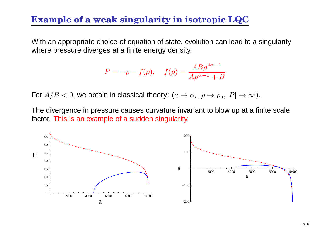#### **Example of <sup>a</sup> weak singularity in isotropic LQC**

With an appropriate choice of equation of state, evolution can lead to <sup>a</sup> singularitywhere pressure diverges at <sup>a</sup> finite energy density.

$$
P = -\rho - f(\rho), \quad f(\rho) = \frac{AB\rho^{2\alpha - 1}}{A\rho^{\alpha - 1} + B}
$$

For  $A/B < 0$ , we obtain in classical theory:  $(a \rightarrow \alpha_s, \rho \rightarrow \rho_s,$  $,|P|\rightarrow\infty).$ 

The divergence in pressure causes curvature invariant to blow up at <sup>a</sup> finite scalefactor. This is an example of <sup>a</sup> sudden singularity.

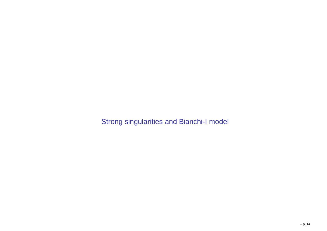Strong singularities and Bianchi-I model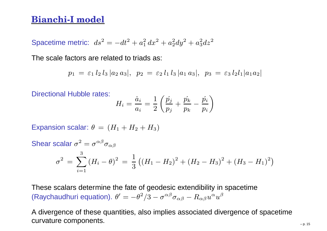#### **Bianchi-I model**

Spacetime metric:  $ds^2 = -dt^2 + a_1^2 dx^2 + a_2^2 dy^2 + a_3^2 dz^2$ 

The scale factors are related to triads as:

$$
p_1 = \varepsilon_1 l_2 l_3 |a_2 a_3|, p_2 = \varepsilon_2 l_1 l_3 |a_1 a_3|, p_3 = \varepsilon_3 l_2 l_1 |a_1 a_2|
$$

Directional Hubble rates:

$$
H_i = \frac{\dot{a}_i}{a_i} = \frac{1}{2}\left(\frac{\dot{p_j}}{p_j} + \frac{\dot{p_k}}{p_k} - \frac{\dot{p_i}}{p_i}\right)
$$

Expansion scalar:  $\theta = (H_1 + H_2 + H_3)$ 

Shear scalar  $\sigma^2 = \sigma^{\alpha\beta}\sigma_{\alpha\beta}$ 

$$
\sigma^{2} = \sum_{i=1}^{3} (H_{i} - \theta)^{2} = \frac{1}{3} ((H_{1} - H_{2})^{2} + (H_{2} - H_{3})^{2} + (H_{3} - H_{1})^{2})
$$

These scalars determine the fate of geodesic extendibility in spacetime(Raychaudhuri equation).  $\theta'=-\theta^2/3-\sigma^{\alpha\beta}\sigma_{\alpha\beta}-R_{\alpha\beta}u^\alpha u^\beta$ 

A divergence of these quantities, also implies associated divergence of spacetimecurvature components. –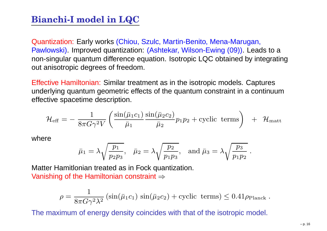# **Bianchi-I model in LQC**

Quantization: Early works (Chiou, Szulc, Martin-Benito, Mena-Marugan, Pawlowski). Improved quantization: (Ashtekar, Wilson-Ewing (09)). Leads to <sup>a</sup> non-singular quantum difference equation. Isotropic LQC obtained by integratingout anisotropic degrees of freedom.

Effective Hamiltonian: Similar treatment as in the isotropic models. Captures underlying quantum geometric effects of the quantum constraint in <sup>a</sup> continuumeffective spacetime description.

$$
\mathcal{H}_{\textrm{eff}} = -\;\frac{1}{8\pi G \gamma^2 V} \left( \frac{\sin(\bar{\mu}_1 c_1)}{\bar{\mu}_1} \frac{\sin(\bar{\mu}_2 c_2)}{\bar{\mu}_2} p_1 p_2 + \textrm{cyclic terms} \right) \;\; + \;\; \mathcal{H}_{\textrm{matt}}
$$

where

$$
\bar{\mu}_1 = \lambda \sqrt{\frac{p_1}{p_2 p_3}}, \quad \bar{\mu}_2 = \lambda \sqrt{\frac{p_2}{p_1 p_3}}, \text{ and } \bar{\mu}_3 = \lambda \sqrt{\frac{p_3}{p_1 p_2}}
$$

Matter Hamitlonian treated as in Fock quantization. Vanishing of the Hamiltonian constraint  $\Rightarrow$ 

$$
\rho = \frac{1}{8\pi G \gamma^2 \lambda^2} \left( \sin(\bar{\mu}_1 c_1) \sin(\bar{\mu}_2 c_2) + \text{cyclic terms} \right) \leq 0.41 \rho_{\text{Planck}}.
$$

The maximum of energy density coincides with that of the isotropic model.

.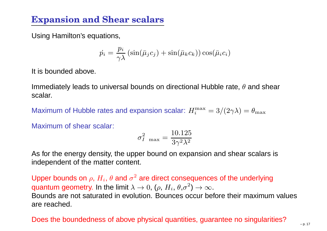# **Expansion and Shear scalars**

Using Hamilton's equations,

$$
\dot{p}_i = \frac{p_i}{\gamma \lambda} \left( \sin(\bar{\mu}_j c_j) + \sin(\bar{\mu}_k c_k) \right) \cos(\bar{\mu}_i c_i)
$$

It is bounded above.

Immediately leads to universal bounds on directional Hubble rate,  $\theta$  and shear scalar.

Maximum of Hubble rates and expansion scalar:  $H_i^{\max}=3/(2\gamma\lambda)=\theta_{\max}$ 

Maximum of shear scalar:

$$
\sigma_{I\ \max}^2 = \frac{10.125}{3\gamma^2\lambda^2}
$$

As for the energy density, the upper bound on expansion and shear scalars isindependent of the matter content.

Upper bounds on  $\rho,$   $H_i,$   $\theta$  and  $\sigma$ quantum geometry. In the limit  $\lambda \rightarrow 0$ , ( $\rho,$   $H_i,$   $\theta, \sigma^2$  $^{\rm 2}$  are direct consequences of the underlying וור Bounds are not saturated in evolution. Bounces occur before their maximum values  $\rightarrow^2$ )  $\rightarrow \infty$ . are reached.

#### Does the boundedness of above physical quantities, guarantee no singularities?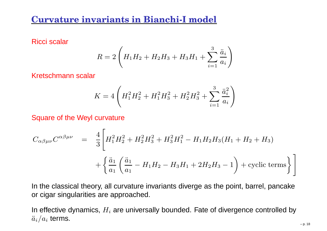#### **Curvature invariants in Bianchi-I model**

Ricci scalar

$$
R = 2\left(H_1H_2 + H_2H_3 + H_3H_1 + \sum_{i=1}^{3} \frac{\ddot{a}_i}{a_i}\right)
$$

Kretschmann scalar

$$
K = 4\left(H_1^2H_2^2 + H_1^2H_3^2 + H_2^2H_3^2 + \sum_{i=1}^3 \frac{\ddot{a}_i^2}{a_i}\right)
$$

Square of the Weyl curvature

$$
C_{\alpha\beta\mu\nu}C^{\alpha\beta\mu\nu} = \frac{4}{3}\left[H_1^2H_2^2 + H_2^2H_3^2 + H_3^2H_1^2 - H_1H_2H_3(H_1 + H_2 + H_3) + \left\{\frac{\ddot{a}_1}{a_1}\left(\frac{\ddot{a}_1}{a_1} - H_1H_2 - H_3H_1 + 2H_2H_3 - 1\right) + \text{cyclic terms}\right\}\right]
$$

In the classical theory, all curvature invariants diverge as the point, barrel, pancakeor cigar singularities are approached.

In effective dynamics,  $H_i$  are universally bounded. Fate of divergence controlled by  $\ddot{a}_i/a_i$  terms.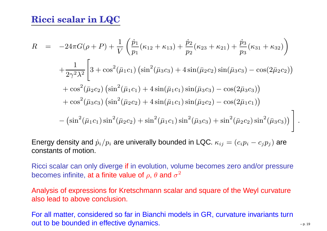## **Ricci scalar in LQC**

$$
R = -24\pi G(\rho + P) + \frac{1}{V} \left( \frac{\dot{p}_1}{p_1} (\kappa_{12} + \kappa_{13}) + \frac{\dot{p}_2}{p_2} (\kappa_{23} + \kappa_{21}) + \frac{\dot{p}_3}{p_3} (\kappa_{31} + \kappa_{32}) \right) + \frac{1}{2\gamma^2 \lambda^2} \left[ 3 + \cos^2(\bar{\mu}_1 c_1) \left( \sin^2(\bar{\mu}_3 c_3) + 4 \sin(\bar{\mu}_2 c_2) \sin(\bar{\mu}_3 c_3) - \cos(2\bar{\mu}_2 c_2) \right) + \cos^2(\bar{\mu}_2 c_2) \left( \sin^2(\bar{\mu}_1 c_1) + 4 \sin(\bar{\mu}_1 c_1) \sin(\bar{\mu}_3 c_3) - \cos(2\bar{\mu}_3 c_3) \right) + \cos^2(\bar{\mu}_3 c_3) \left( \sin^2(\bar{\mu}_2 c_2) + 4 \sin(\bar{\mu}_1 c_1) \sin(\bar{\mu}_2 c_2) - \cos(2\bar{\mu}_1 c_1) \right) - \left( \sin^2(\bar{\mu}_1 c_1) \sin^2(\bar{\mu}_2 c_2) + \sin^2(\bar{\mu}_1 c_1) \sin^2(\bar{\mu}_3 c_3) + \sin^2(\bar{\mu}_2 c_2) \sin^2(\bar{\mu}_3 c_3) \right) \right].
$$

Energy density and  $\dot{p}_i/p_i$  are univerally bounded in LQC.  $\kappa_{ij}=(c_ip_i-c_jp_j)$  are constants of motion.

Ricci scalar can only diverge if in evolution, volume becomes zero and/or pressure becomes infinite, at a finite value of  $\rho$ ,  $\theta$  and  $\sigma^2$ 

Analysis of expressions for Kretschmann scalar and square of the Weyl curvaturealso lead to above conclusion.

For all matter, considered so far in Bianchi models in GR, curvature invariants turnout to be bounded in effective dynamics.  $\begin{array}{c} \text{out to be bounded} \\ \text{in } p_{\text{max}} \end{array}$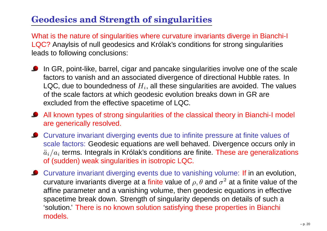# **Geodesics and Strength of singularities**

What is the nature of singularities where curvature invariants diverge in Bianchi-I LQC? Anaylsis of null geodesics and Królak's conditions for strong singularities leads to following conclusions:

- In GR, point-like, barrel, cigar and pancake singularities involve one of the scalefactors to vanish and an associated divergence of directional Hubble rates. InLQC, due to boundedness of  $H_i$ , all these singularities are avoided. The values of the scale factors at which geodesic evolution breaks down in GR are excluded from the effective spacetime of LQC.
- All known types of strong singularities of the classical theory in Bianchi-I model are generically resolved.
- Curvature invariant diverging events due to infinite pressure at finite values of scale factors: Geodesic equations are well behaved. Divergence occurs only in $\ddot{a}_{i}/a_{i}$  terms. Integrals in Królak's conditions are finite. These are generalizations of (sudden) weak singularities in isotropic LQC.
- Curvature invariant diverging events due to vanishing volume: If in an evolution, curvature invariants diverge at a finite value of  $\rho, \theta$  and  $\sigma$  affine parameter and <sup>a</sup> vanishing volume, then geodesic equations in effective $^2$  at a finite value of the spacetime break down. Strength of singularity depends on details of such <sup>a</sup> 'solution.' There is no known solution satisfying these properties in Bianchi models.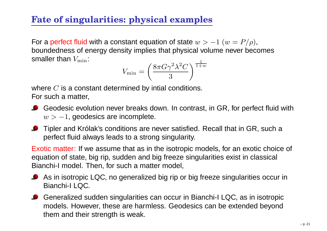# **Fate of singularities: physical examples**

For a perfect fluid with a constant equation of state  $w > -1$   $(w = P/\rho),$  boundedness of energy density implies that physical volume never becomes smaller than  $V_{\rm min}$ :

$$
V_{\min} = \left(\frac{8\pi G\gamma^2\lambda^2C}{3}\right)^{\frac{1}{1+w}}
$$

where  $C$  is a constant determined by intial conditions.<br>Farauch a matter For such <sup>a</sup> matter,

- Geodesic evolution never breaks down. In contrast, in GR, for perfect fluid with  $w > 1, \, {\tt geodesics}$  are incomplete.
- **O** Tipler and Królak's conditions are never satisfied. Recall that in GR, such a perfect fluid always leads to <sup>a</sup> strong singularity.

Exotic matter: If we assume that as in the isotropic models, for an exotic choice of equation of state, big rip, sudden and big freeze singularities exist in classical Bianchi-I model. Then, for such <sup>a</sup> matter model,

- As in isotropic LQC, no generalized big rip or big freeze singularities occur in Bianchi-I LQC.
- Generalized sudden singularities can occur in Bianchi-I LQC, as in isotropic models. However, these are harmless. Geodesics can be extended beyondthem and their strength is weak.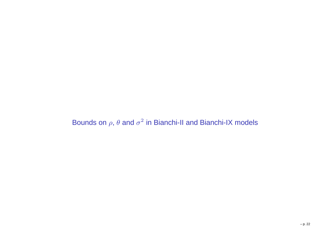Bounds on  $\rho$ ,  $\theta$  and  $\sigma^2$  in Bianchi-II and Bianchi-IX models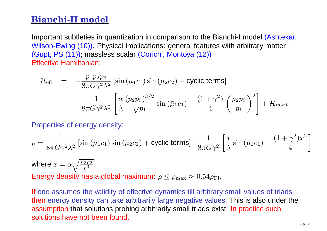## **Bianchi-II model**

Important subtleties in quantization in comparison to the Bianchi-I model (Ashtekar, Wilson-Ewing (10)). Physical implications: general features with arbitrary matter(Gupt, PS (11)); massless scalar (Corichi, Montoya (12)) Effective Hamiltonian:

$$
\mathcal{H}_{\text{eff}} = -\frac{p_1 p_2 p_3}{8\pi G \gamma^2 \lambda^2} \left[ \sin \left( \bar{\mu}_1 c_1 \right) \sin \left( \bar{\mu}_2 c_2 \right) + \text{cyclic terms} \right] \n- \frac{1}{8\pi G \gamma^2 \lambda^2} \left[ \frac{\alpha}{\lambda} \frac{(p_2 p_3)^{3/2}}{\sqrt{p_1}} \sin \left( \bar{\mu}_1 c_1 \right) - \frac{(1 + \gamma^2)}{4} \left( \frac{p_2 p_3}{p_1} \right)^2 \right] + \mathcal{H}_{\text{matt}}
$$

Properties of energy density:

$$
\rho = \frac{1}{8\pi G \gamma^2 \lambda^2} \left[ \sin \left( \bar{\mu}_1 c_1 \right) \sin \left( \bar{\mu}_2 c_2 \right) + \text{cyclic terms} \right] + \frac{1}{8\pi G \gamma^2} \left[ \frac{x}{\lambda} \sin \left( \bar{\mu}_1 c_1 \right) - \frac{(1+\gamma^2)x^2}{4} \right]
$$

where  $x = \alpha \sqrt{\frac{p_2 p_3}{p_1^3}}$  . Energy density has a global maximum:  $\rho \leq \rho_{\rm max} \approx 0.54 \rho_{\rm Pl}.$ 

If one assumes the validity of effective dynamics till arbitrary small values of triads, then energy density can take arbitrarily large negative values. This is also under the assumption that solutions probing arbitrarily small triads exist. In practice such solutions have not been found.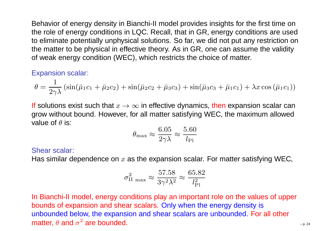Behavior of energy density in Bianchi-II model provides insights for the first time on the role of energy conditions in LQC. Recall, that in GR, energy conditions are used to eliminate potentially unphysical solutions. So far, we did not put any restriction on the matter to be physical in effective theory. As in GR, one can assume the validityof weak energy condition (WEC), which restricts the choice of matter.

#### Expansion scalar:

$$
\theta = \frac{1}{2\gamma\lambda} \left( \sin(\bar{\mu}_1 c_1 + \bar{\mu}_2 c_2) + \sin(\bar{\mu}_2 c_2 + \bar{\mu}_3 c_3) + \sin(\bar{\mu}_3 c_3 + \bar{\mu}_1 c_1) + \lambda x \cos(\bar{\mu}_1 c_1) \right)
$$

**If** solutions exist such that  $x \to \infty$  in effective dynamics, then expansion scalar can<br>grow without bound. However, for all matter satisfying WFC, the maximum allowed grow without bound. However, for all matter satisfying WEC, the maximum allowedvalue of  $\theta$  is:

$$
\theta_{\rm max} \approx \frac{6.05}{2\gamma\lambda} \approx \frac{5.60}{l_{\rm Pl}}
$$

#### Shear scalar:

Has similar dependence on  $x$  as the expansion scalar. For matter satisfying WEC,

$$
\sigma_{\rm II\ max}^2 \approx \frac{57.58}{3\gamma^2\lambda^2} \approx \frac{65.82}{l_{\rm Pl}^2}
$$

In Bianchi-II model, energy conditions play an important role on the values of upperbounds of expansion and shear scalars. Only when the energy density is unbounded below, the expansion and shear scalars are unbounded. For all othermatter,  $\theta$  and  $\sigma$  $2$  are bounded.  $\overline{a}$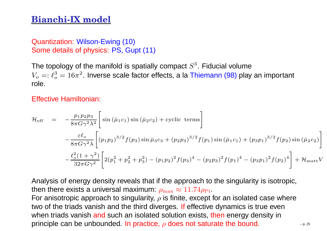### **Bianchi-IX model**

Quantization: Wilson-Ewing (10)Some details of physics: PS, Gupt (11)

The topology of the manifold is spatially compact  $S<sup>3</sup>$ . Fiducial volume  $V_o =: \ell_o^3 = 16 \pi^2.$  Inverse scale factor effects, a la Thiemann (98) play an important role.

Effective Hamiltonian:

$$
\mathcal{H}_{\text{eff}} = -\frac{p_1 p_2 p_3}{8\pi G \gamma^2 \lambda^2} \left[ \sin \left( \bar{\mu}_1 c_1 \right) \sin \left( \bar{\mu}_2 c_2 \right) + \text{cyclic terms} \right] \n- \frac{\varepsilon \ell_o}{8\pi G \gamma^2 \lambda} \left[ \left( p_1 p_2 \right)^{3/2} f(p_3) \sin \bar{\mu}_3 c_3 + \left( p_2 p_3 \right)^{3/2} f(p_1) \sin \left( \bar{\mu}_1 c_1 \right) + \left( p_3 p_1 \right)^{3/2} f(p_2) \sin \left( \bar{\mu}_2 \right) \right] \n- \frac{\ell_o^2 (1 + \gamma^2)}{32\pi G \gamma^2} \left[ 2(p_1^2 + p_2^2 + p_3^2) - (p_1 p_2)^2 f(p_3)^4 - (p_2 p_3)^2 f(p_1)^4 - (p_3 p_1)^2 f(p_2)^4 \right] + \mathcal{H}_{\text{m}}
$$

Analysis of energy density reveals that if the approach to the singularity is isotropic, then there exists a universal maximum:  $\rho_{\rm max} \approx 11.74 \rho_{\rm Pl}$ .<br>For opisatrapia approach to singularity, a is finite, avecant

For anisotropic approach to singularity,  $\rho$  is finite, except for an isolated case where two of the triads vanish and the third diverges. If effective dynamics is true even when triads vanish and such an isolated solution exists, then energy density in principle can be unbounded. In practice,  $\rho$  does not saturate the bound.  $\hskip1cm \Box$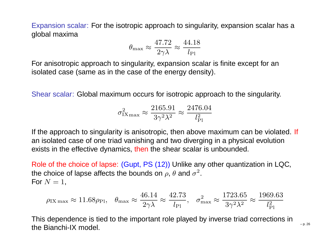Expansion scalar: For the isotropic approach to singularity, expansion scalar has <sup>a</sup>global maxima

$$
\theta_{\rm max} \approx \frac{47.72}{2\gamma\lambda} \approx \frac{44.18}{l_{\rm Pl}}
$$

For anisotropic approach to singularity, expansion scalar is finite except for anisolated case (same as in the case of the energy density).

Shear scalar: Global maximum occurs for isotropic approach to the singularity.

$$
\sigma_{\text{IX}_{\text{max}}}^2 \approx \frac{2165.91}{3\gamma^2 \lambda^2} \approx \frac{2476.04}{l_{\text{Pl}}^2}
$$

If the approach to singularity is anisotropic, then above maximum can be violated. If an isolated case of one triad vanishing and two diverging in <sup>a</sup> physical evolution exists in the effective dynamics, <mark>then</mark> the shear scalar is unbounded.

Role of the choice of lapse: (Gupt, PS (12)) Unlike any other quantization in LQC, the choice of lapse affects the bounds on  $\rho$ ,  $\theta$  and  $\sigma^2$ . For  $N=1$ ,

$$
\rho_{\text{IX max}} \approx 11.68 \rho_{\text{Pl}}, \quad \theta_{\text{max}} \approx \frac{46.14}{2\gamma \lambda} \approx \frac{42.73}{l_{\text{Pl}}}, \quad \sigma_{\text{max}}^2 \approx \frac{1723.65}{3\gamma^2 \lambda^2} \approx \frac{1969.63}{l_{\text{Pl}}^2}
$$

This dependence is tied to the important role played by inverse triad corrections inthe Bianchi-IX model.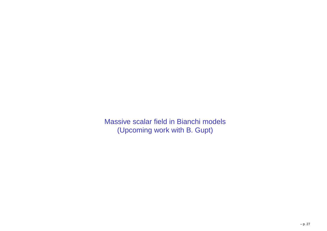Massive scalar field in Bianchi models(Upcoming work with B. Gupt)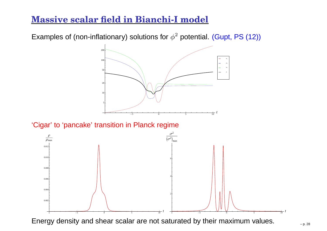### **Massive scalar field in Bianchi-I model**

Examples of (non-inflationary) solutions for  $\phi^2$  potential. (Gupt, PS (12))



#### 'Cigar' to 'pancake' transition in Planck regime



Energy density and shear scalar are not saturated by their maximum values.  $\mathbb{Z}_{p, 28}$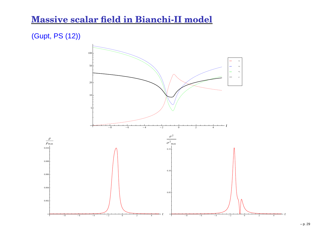#### **Massive scalar field in Bianchi-II model**

#### (Gupt, PS (12))

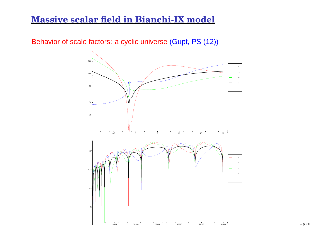#### **Massive scalar field in Bianchi-IX model**

Behavior of scale factors: <sup>a</sup> cyclic universe (Gupt, PS (12))

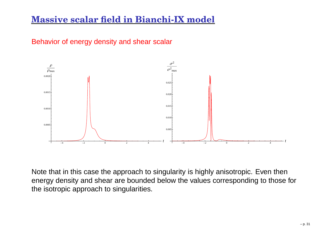### **Massive scalar field in Bianchi-IX model**





Note that in this case the approach to singularity is highly anisotropic. Even then energy density and shear are bounded below the values corresponding to those forthe isotropic approach to singularities.